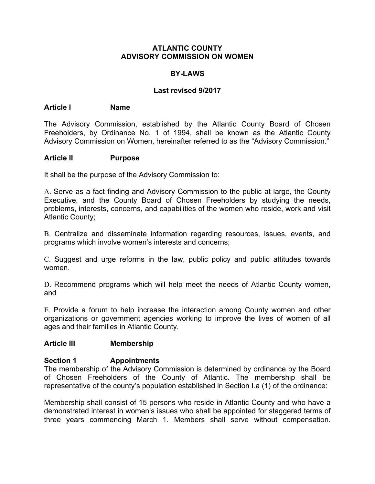### **ATLANTIC COUNTY ADVISORY COMMISSION ON WOMEN**

## **BY-LAWS**

### **Last revised 9/2017**

#### **Article I Name**

The Advisory Commission, established by the Atlantic County Board of Chosen Freeholders, by Ordinance No. 1 of 1994, shall be known as the Atlantic County Advisory Commission on Women, hereinafter referred to as the "Advisory Commission."

#### **Article II Purpose**

It shall be the purpose of the Advisory Commission to:

A. Serve as a fact finding and Advisory Commission to the public at large, the County Executive, and the County Board of Chosen Freeholders by studying the needs, problems, interests, concerns, and capabilities of the women who reside, work and visit Atlantic County;

B. Centralize and disseminate information regarding resources, issues, events, and programs which involve women's interests and concerns;

C. Suggest and urge reforms in the law, public policy and public attitudes towards women.

D. Recommend programs which will help meet the needs of Atlantic County women, and

E. Provide a forum to help increase the interaction among County women and other organizations or government agencies working to improve the lives of women of all ages and their families in Atlantic County.

## **Article III Membership**

## **Section 1 Appointments**

The membership of the Advisory Commission is determined by ordinance by the Board of Chosen Freeholders of the County of Atlantic. The membership shall be representative of the county's population established in Section I.a (1) of the ordinance:

Membership shall consist of 15 persons who reside in Atlantic County and who have a demonstrated interest in women's issues who shall be appointed for staggered terms of three years commencing March 1. Members shall serve without compensation.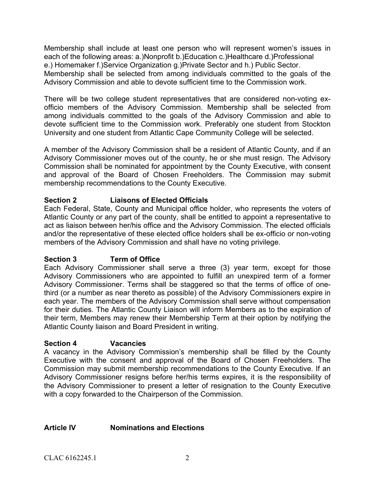Membership shall include at least one person who will represent women's issues in each of the following areas: a.)Nonprofit b.)Education c.)Healthcare d.)Professional e.) Homemaker f.)Service Organization g.)Private Sector and h.) Public Sector. Membership shall be selected from among individuals committed to the goals of the Advisory Commission and able to devote sufficient time to the Commission work.

There will be two college student representatives that are considered non-voting exofficio members of the Advisory Commission. Membership shall be selected from among individuals committed to the goals of the Advisory Commission and able to devote sufficient time to the Commission work. Preferably one student from Stockton University and one student from Atlantic Cape Community College will be selected.

A member of the Advisory Commission shall be a resident of Atlantic County, and if an Advisory Commissioner moves out of the county, he or she must resign. The Advisory Commission shall be nominated for appointment by the County Executive, with consent and approval of the Board of Chosen Freeholders. The Commission may submit membership recommendations to the County Executive.

# **Section 2 Liaisons of Elected Officials**

Each Federal, State, County and Municipal office holder, who represents the voters of Atlantic County or any part of the county, shall be entitled to appoint a representative to act as liaison between her/his office and the Advisory Commission. The elected officials and/or the representative of these elected office holders shall be ex-officio or non-voting members of the Advisory Commission and shall have no voting privilege.

## **Section 3 Term of Office**

Each Advisory Commissioner shall serve a three (3) year term, except for those Advisory Commissioners who are appointed to fulfill an unexpired term of a former Advisory Commissioner. Terms shall be staggered so that the terms of office of onethird (or a number as near thereto as possible) of the Advisory Commissioners expire in each year. The members of the Advisory Commission shall serve without compensation for their duties. The Atlantic County Liaison will inform Members as to the expiration of their term, Members may renew their Membership Term at their option by notifying the Atlantic County liaison and Board President in writing.

## **Section 4 Vacancies**

A vacancy in the Advisory Commission's membership shall be filled by the County Executive with the consent and approval of the Board of Chosen Freeholders. The Commission may submit membership recommendations to the County Executive. If an Advisory Commissioner resigns before her/his terms expires, it is the responsibility of the Advisory Commissioner to present a letter of resignation to the County Executive with a copy forwarded to the Chairperson of the Commission.

## **Article IV Nominations and Elections**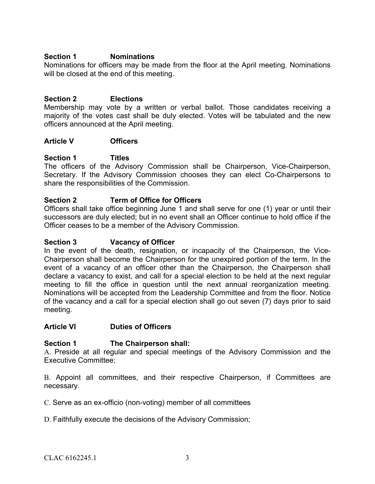## **Section 1 Nominations**

Nominations for officers may be made from the floor at the April meeting. Nominations will be closed at the end of this meeting.

## **Section 2 Elections**

Membership may vote by a written or verbal ballot. Those candidates receiving a majority of the votes cast shall be duly elected. Votes will be tabulated and the new officers announced at the April meeting.

#### **Article V Officers**

## **Section 1 Titles**

The officers of the Advisory Commission shall be Chairperson, Vice-Chairperson, Secretary. If the Advisory Commission chooses they can elect Co-Chairpersons to share the responsibilities of the Commission.

## **Section 2 Term of Office for Officers**

Officers shall take office beginning June 1 and shall serve for one (1) year or until their successors are duly elected; but in no event shall an Officer continue to hold office if the Officer ceases to be a member of the Advisory Commission.

#### **Section 3 Vacancy of Officer**

In the event of the death, resignation, or incapacity of the Chairperson, the Vice-Chairperson shall become the Chairperson for the unexpired portion of the term. In the event of a vacancy of an officer other than the Chairperson, the Chairperson shall declare a vacancy to exist, and call for a special election to be held at the next regular meeting to fill the office in question until the next annual reorganization meeting. Nominations will be accepted from the Leadership Committee and from the floor. Notice of the vacancy and a call for a special election shall go out seven (7) days prior to said meeting.

#### **Article VI Duties of Officers**

## **Section 1 The Chairperson shall:**

A. Preside at all regular and special meetings of the Advisory Commission and the Executive Committee;

B. Appoint all committees, and their respective Chairperson, if Committees are necessary.

C. Serve as an ex-officio (non-voting) member of all committees

D. Faithfully execute the decisions of the Advisory Commission;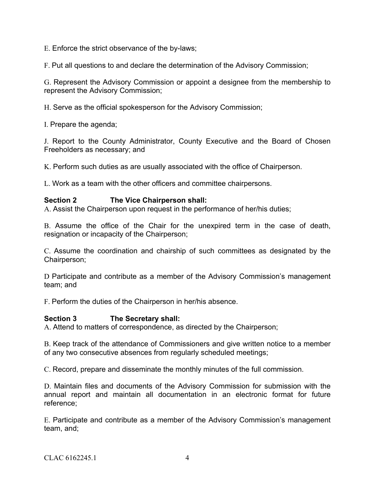E. Enforce the strict observance of the by-laws;

F. Put all questions to and declare the determination of the Advisory Commission;

G. Represent the Advisory Commission or appoint a designee from the membership to represent the Advisory Commission;

H. Serve as the official spokesperson for the Advisory Commission;

I. Prepare the agenda;

J. Report to the County Administrator, County Executive and the Board of Chosen Freeholders as necessary; and

K. Perform such duties as are usually associated with the office of Chairperson.

L. Work as a team with the other officers and committee chairpersons.

## **Section 2 The Vice Chairperson shall:**

A. Assist the Chairperson upon request in the performance of her/his duties;

B. Assume the office of the Chair for the unexpired term in the case of death, resignation or incapacity of the Chairperson;

C. Assume the coordination and chairship of such committees as designated by the Chairperson;

D Participate and contribute as a member of the Advisory Commission's management team; and

F. Perform the duties of the Chairperson in her/his absence.

## **Section 3 The Secretary shall:**

A. Attend to matters of correspondence, as directed by the Chairperson;

B. Keep track of the attendance of Commissioners and give written notice to a member of any two consecutive absences from regularly scheduled meetings;

C. Record, prepare and disseminate the monthly minutes of the full commission.

D. Maintain files and documents of the Advisory Commission for submission with the annual report and maintain all documentation in an electronic format for future reference;

E. Participate and contribute as a member of the Advisory Commission's management team, and;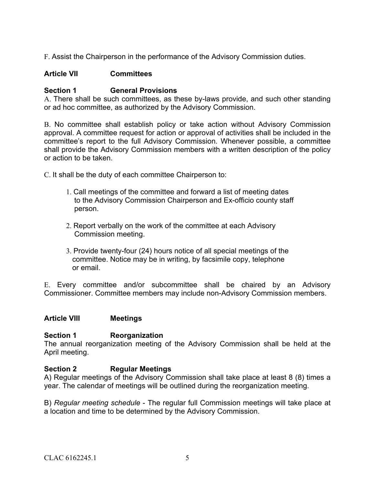F. Assist the Chairperson in the performance of the Advisory Commission duties.

## **Article VII Committees**

## **Section 1 General Provisions**

A. There shall be such committees, as these by-laws provide, and such other standing or ad hoc committee, as authorized by the Advisory Commission.

B. No committee shall establish policy or take action without Advisory Commission approval. A committee request for action or approval of activities shall be included in the committee's report to the full Advisory Commission. Whenever possible, a committee shall provide the Advisory Commission members with a written description of the policy or action to be taken.

C. It shall be the duty of each committee Chairperson to:

- 1. Call meetings of the committee and forward a list of meeting dates to the Advisory Commission Chairperson and Ex-officio county staff person.
- 2. Report verbally on the work of the committee at each Advisory Commission meeting.
- 3. Provide twenty-four (24) hours notice of all special meetings of the committee. Notice may be in writing, by facsimile copy, telephone or email.

E. Every committee and/or subcommittee shall be chaired by an Advisory Commissioner. Committee members may include non-Advisory Commission members.

## **Article VIII Meetings**

## **Section 1 Reorganization**

The annual reorganization meeting of the Advisory Commission shall be held at the April meeting.

## **Section 2 Regular Meetings**

A) Regular meetings of the Advisory Commission shall take place at least 8 (8) times a year. The calendar of meetings will be outlined during the reorganization meeting.

B) *Regular meeting schedule* - The regular full Commission meetings will take place at a location and time to be determined by the Advisory Commission.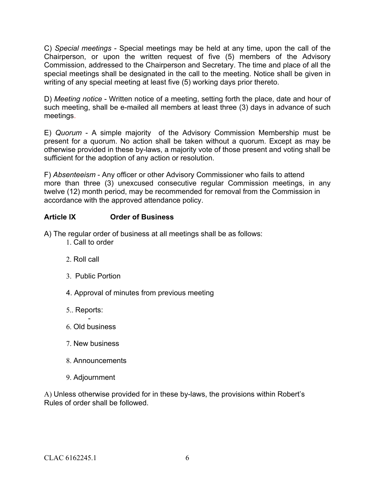C) *Special meetings* - Special meetings may be held at any time, upon the call of the Chairperson, or upon the written request of five (5) members of the Advisory Commission, addressed to the Chairperson and Secretary. The time and place of all the special meetings shall be designated in the call to the meeting. Notice shall be given in writing of any special meeting at least five (5) working days prior thereto.

D) *Meeting notice* - Written notice of a meeting, setting forth the place, date and hour of such meeting, shall be e-mailed all members at least three (3) days in advance of such meetings.

E) *Quorum* - A simple majority of the Advisory Commission Membership must be present for a quorum. No action shall be taken without a quorum. Except as may be otherwise provided in these by-laws, a majority vote of those present and voting shall be sufficient for the adoption of any action or resolution.

F) *Absenteeism* - Any officer or other Advisory Commissioner who fails to attend more than three (3) unexcused consecutive regular Commission meetings, in any twelve (12) month period, may be recommended for removal from the Commission in accordance with the approved attendance policy.

# **Article IX Order of Business**

A) The regular order of business at all meetings shall be as follows:

- 1. Call to order
- 2. Roll call
- 3. Public Portion
- 4. Approval of minutes from previous meeting
- 5.. Reports:
- 6. Old business
- 7. New business
- 8. Announcements
- 9. Adjournment

A) Unless otherwise provided for in these by-laws, the provisions within Robert's Rules of order shall be followed.